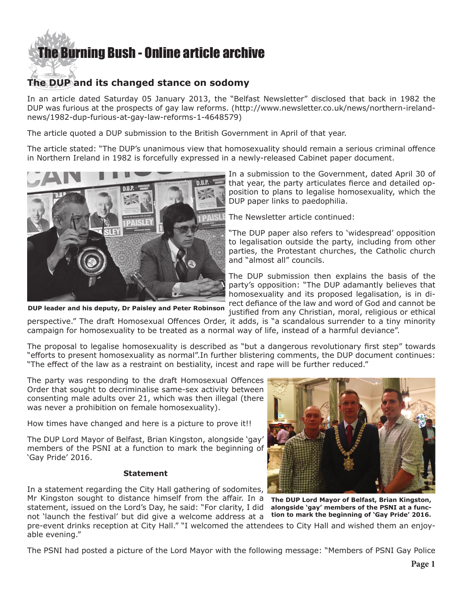## [The Burning Bush - Online article archive](http://www.ivanfoster.net)

## **The DUP and its changed stance on sodomy**

In an article dated Saturday 05 January 2013, the "Belfast Newsletter" disclosed that back in 1982 the DUP was furious at the prospects of gay law reforms. ([http://www.newsletter.co.uk/news/northern-ireland](http://www.newsletter.co.uk/news/northern-ireland-news/1982-dup-furious-at-gay-law-reforms-1-4648579)[news/1982-dup-furious-at-gay-law-reforms-1-4648579](http://www.newsletter.co.uk/news/northern-ireland-news/1982-dup-furious-at-gay-law-reforms-1-4648579))

The article quoted a DUP submission to the British Government in April of that year.

The article stated: "The DUP's unanimous view that homosexuality should remain a serious criminal offence in Northern Ireland in 1982 is forcefully expressed in a newly-released Cabinet paper document.



**DUP leader and his deputy, Dr Paisley and Peter Robinson**

In a submission to the Government, dated April 30 of that year, the party articulates fierce and detailed opposition to plans to legalise homosexuality, which the DUP paper links to paedophilia.

The Newsletter article continued:

"The DUP paper also refers to 'widespread' opposition to legalisation outside the party, including from other parties, the Protestant churches, the Catholic church and "almost all" councils.

The DUP submission then explains the basis of the party's opposition: "The DUP adamantly believes that homosexuality and its proposed legalisation, is in direct defiance of the law and word of God and cannot be justified from any Christian, moral, religious or ethical

perspective." The draft Homosexual Offences Order, it adds, is "a scandalous surrender to a tiny minority campaign for homosexuality to be treated as a normal way of life, instead of a harmful deviance".

The proposal to legalise homosexuality is described as "but a dangerous revolutionary first step" towards "efforts to present homosexuality as normal".In further blistering comments, the DUP document continues: "The effect of the law as a restraint on bestiality, incest and rape will be further reduced."

The party was responding to the draft Homosexual Offences Order that sought to decriminalise same-sex activity between consenting male adults over 21, which was then illegal (there was never a prohibition on female homosexuality).

How times have changed and here is a picture to prove it!!

The DUP Lord Mayor of Belfast, Brian Kingston, alongside 'gay' members of the PSNI at a function to mark the beginning of 'Gay Pride' 2016.

## **Statement**

In a statement regarding the City Hall gathering of sodomites, Mr Kingston sought to distance himself from the affair. In a statement, issued on the Lord's Day, he said: "For clarity, I did

not 'launch the festival' but did give a welcome address at a

**The DUP Lord Mayor of Belfast, Brian Kingston, alongside 'gay' members of the PSNI at a function to mark the beginning of 'Gay Pride' 2016.**

pre-event drinks reception at City Hall." "I welcomed the attendees to City Hall and wished them an enjoyable evening."

The PSNI had posted a picture of the Lord Mayor with the following message: "Members of PSNI Gay Police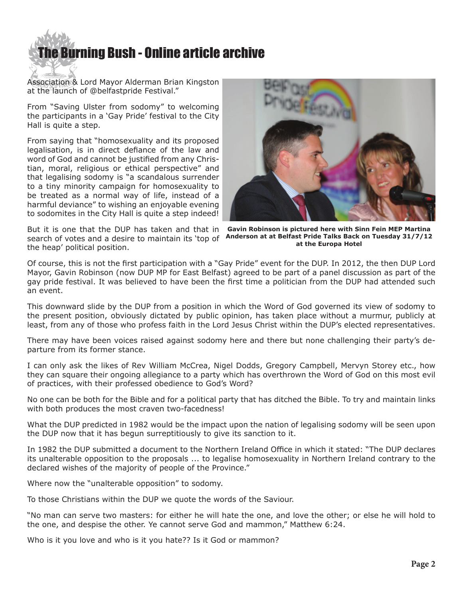

Association & Lord Mayor Alderman Brian Kingston at the launch of @belfastpride Festival."

From "Saving Ulster from sodomy" to welcoming the participants in a 'Gay Pride' festival to the City Hall is quite a step.

From saying that "homosexuality and its proposed legalisation, is in direct defiance of the law and word of God and cannot be justified from any Christian, moral, religious or ethical perspective" and that legalising sodomy is "a scandalous surrender to a tiny minority campaign for homosexuality to be treated as a normal way of life, instead of a harmful deviance" to wishing an enjoyable evening to sodomites in the City Hall is quite a step indeed!

But it is one that the DUP has taken and that in the heap' political position.



search of votes and a desire to maintain its 'top of **Anderson at at Belfast Pride Talks Back on Tuesday 31/7/12 Gavin Robinson is pictured here with Sinn Fein MEP Martina at the Europa Hotel** 

Of course, this is not the first participation with a "Gay Pride" event for the DUP. In 2012, the then DUP Lord Mayor, Gavin Robinson (now DUP MP for East Belfast) agreed to be part of a panel discussion as part of the gay pride festival. It was believed to have been the first time a politician from the DUP had attended such an event.

This downward slide by the DUP from a position in which the Word of God governed its view of sodomy to the present position, obviously dictated by public opinion, has taken place without a murmur, publicly at least, from any of those who profess faith in the Lord Jesus Christ within the DUP's elected representatives.

There may have been voices raised against sodomy here and there but none challenging their party's departure from its former stance.

I can only ask the likes of Rev William McCrea, Nigel Dodds, Gregory Campbell, Mervyn Storey etc., how they can square their ongoing allegiance to a party which has overthrown the Word of God on this most evil of practices, with their professed obedience to God's Word?

No one can be both for the Bible and for a political party that has ditched the Bible. To try and maintain links with both produces the most craven two-facedness!

What the DUP predicted in 1982 would be the impact upon the nation of legalising sodomy will be seen upon the DUP now that it has begun surreptitiously to give its sanction to it.

In 1982 the DUP submitted a document to the Northern Ireland Office in which it stated: "The DUP declares its unalterable opposition to the proposals ... to legalise homosexuality in Northern Ireland contrary to the declared wishes of the majority of people of the Province."

Where now the "unalterable opposition" to sodomy.

To those Christians within the DUP we quote the words of the Saviour.

"No man can serve two masters: for either he will hate the one, and love the other; or else he will hold to the one, and despise the other. Ye cannot serve God and mammon," Matthew 6:24.

Who is it you love and who is it you hate?? Is it God or mammon?